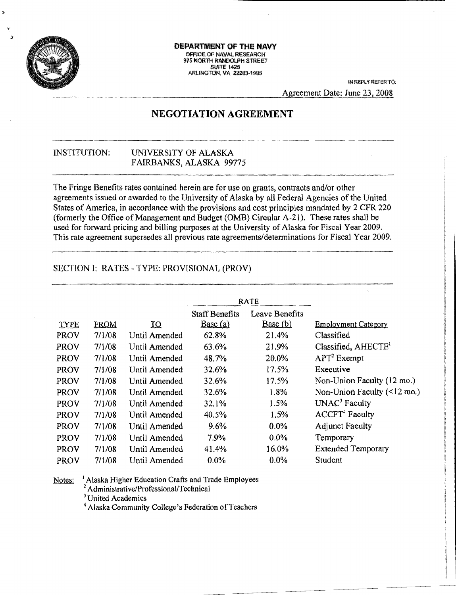

Á

#### DEPARTMENT OF THE **NAVY** OFFICE OF NAVAL RESEARCH 875 NORTH RANDOLPH STREET SUITE 1425<br>ARLINGTON, VA 22203-1995

IN REPLY REFER TO: Agreement Date: June 23, 2008

# **NEGOTIATION AGREEMENT**

## INSTITUTION: UNIVERSITY OF ALASKA FAIRBANKS, ALASKA 99775

The Fringe Benefits rates contained herein are for use on grants, contracts and/or other agreements issued or awarded to the University of Alaska by all Federal Agencies of the United States of America, in accordance with the provisions and cost principles mandated by 2 CFR 220 (fonnerly the Office of Management and Budget (OMS) Circular A-21). These rates shall be used for forward pricing and billing purposes at the University of Alaska for Fiscal Year 2009. This rate agreement supersedes all previous rate agreements/determinations for Fiscal Year 2009.

## SECTION I: RATES - TYPE: PROVISIONAL (PROV)

|             |             |                 | RATE                  |                |                                           |
|-------------|-------------|-----------------|-----------------------|----------------|-------------------------------------------|
|             |             |                 | <b>Staff Benefits</b> | Leave Benefits |                                           |
| TYPE        | <b>FROM</b> | $\overline{10}$ | Base(a)               | Base(b)        | <b>Employment Category</b>                |
| PROV        | 7/1/08      | Until Amended   | 62.8%                 | 21.4%          | Classified                                |
| PROV        | 7/1/08      | Until Amended   | 63.6%                 | 21.9%          | Classified, AHECTE <sup>1</sup>           |
| PROV        | 7/1/08      | Until Amended   | 48.7%                 | 20.0%          | $APT2$ Exempt                             |
| PROV        | 7/1/08      | Until Amended   | 32.6%                 | 17.5%          | Executive                                 |
| <b>PROV</b> | 7/1/08      | Until Amended   | 32.6%                 | 17.5%          | Non-Union Faculty (12 mo.)                |
| PROV        | 7/1/08      | Until Amended   | 32.6%                 | 1.8%           | Non-Union Faculty $(\leq 12 \text{ mo.})$ |
| <b>PROV</b> | 7/1/08      | Until Amended   | 32.1%                 | 1.5%           | UNAC <sup>3</sup> Faculty                 |
| PROV        | 7/1/08      | Until Amended   | 40.5%                 | 1.5%           | ACCFT <sup>4</sup> Faculty                |
| <b>PROV</b> | 7/1/08      | Until Amended   | $9.6\%$               | $0.0\%$        | <b>Adjunct Faculty</b>                    |
| <b>PROV</b> | 7/1/08      | Until Amended   | 7.9%                  | $0.0\%$        | Temporary                                 |
| PROV        | 7/1/08      | Until Amended   | 41.4%                 | 16.0%          | <b>Extended Temporary</b>                 |
| PROV        | 7/1/08      | Until Amended   | $0.0\%$               | 0.0%           | Student                                   |

<sup>1</sup> Alaska Higher Education Crafts and Trade Employees Notes: <sup>2</sup> Administrative/Professional/Technical

<sup>3</sup> United Academics

<sup>4</sup> Alaska Community College's Federation of Teachers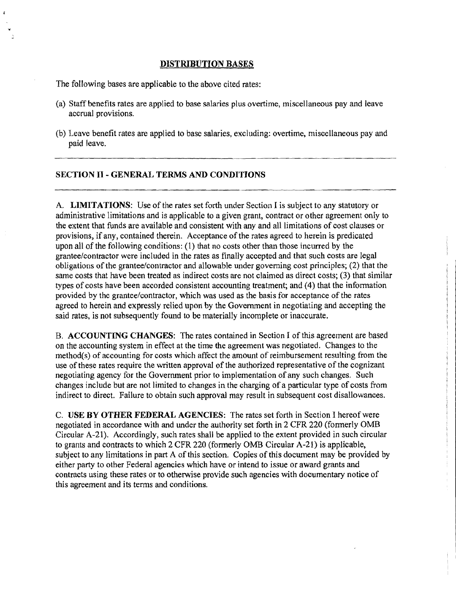#### DISTRIBUTION BASES

The following bases are applicable to the above cited rates:

- (a) Staff benefits rates are applied to base salaries plus overtime, miscellaneous pay and leave accrual provisions.
- (b) Leave benefit rates are applied to base salaries, excluding: overtime, miscellaneous pay and paid leave.

### SECTION II - GENERAL TERMS AND CONDITIONS

A. LIMITATIONS: Use of the rates set forth under Section I is subject to any statutory or administrative limitations and is applicable to a given grant, contract or other agreement only to the extent that funds are available and consistent with any and all limitations of cost clauses or provisions, if any, contained therein. Acceptance of the rates agreed to herein is predicated upon all of the following conditions: (1) that no costs other than those incurred by the grantee/contractor were included in the rates as finally accepted and that such costs are legal obligations of the grantee/contractor and allowable under governing cost principles; (2) that the same costs that have been treated as indirect costs are not claimed as direct costs; (3) that similar types of costs have been accorded consistent accounting treatment; and (4) that the information provided by the grantee/contractor, which was used as the basis for acceptance of the rates agreed to herein and expressly relied upon by the Government in negotiating and accepting the said rates, is not subsequently found to be materially incomplete or inaccurate.

B. ACCOUNTING CHANGES: The rates contained in Section I of this agreement are based on the accounting system in effect at the time the agreement was negotiated. Changes to the  $method(s)$  of accounting for costs which affect the amount of reimbursement resulting from the use of these rates require the written approval of the authorized representative of the cognizant negotiating agency for the Government prior to implementation of any such changes. Such changes include but are not limited to changes in the charging of a particular type of costs from indirect to direct. Failure to obtain such approval may result in subsequent cost disallowances.

C. USE BY OTHER FEDERAL AGENCIES; The rates set forth in Section I hereofwere negotiated in accordance with and under the authority set forth in 2 CFR 220 (formerly OMB Circular A-21). Accordingly, such rates shall be applied to the extent provided *in* such circular to grants and contracts to which 2 CFR 220 (formerly OMB Circular A-21) is applicable, subject to any limitations in part A of this section. Copies of this document may be provided by either party to other Federal agencies which have or intend to issue or award grants and contracts using these rates or to otherwise provide such agencies with documentary notice of this agreement and its terms and conditions.